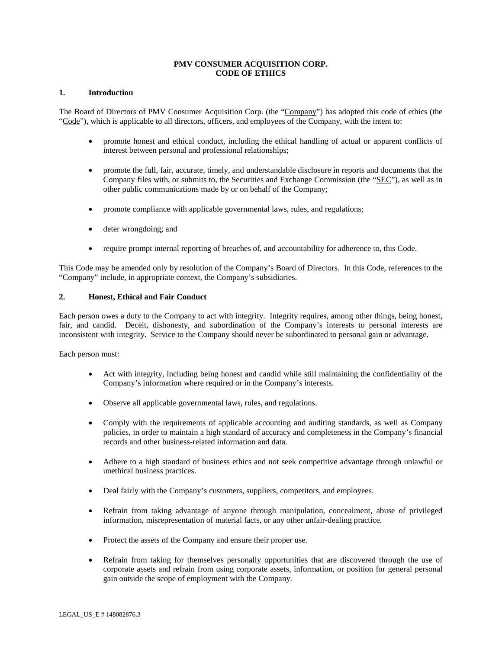# **PMV CONSUMER ACQUISITION CORP. CODE OF ETHICS**

### **1. Introduction**

The Board of Directors of PMV Consumer Acquisition Corp. (the "Company") has adopted this code of ethics (the "Code"), which is applicable to all directors, officers, and employees of the Company, with the intent to:

- promote honest and ethical conduct, including the ethical handling of actual or apparent conflicts of interest between personal and professional relationships;
- promote the full, fair, accurate, timely, and understandable disclosure in reports and documents that the Company files with, or submits to, the Securities and Exchange Commission (the "SEC"), as well as in other public communications made by or on behalf of the Company;
- promote compliance with applicable governmental laws, rules, and regulations;
- deter wrongdoing; and
- require prompt internal reporting of breaches of, and accountability for adherence to, this Code.

This Code may be amended only by resolution of the Company's Board of Directors. In this Code, references to the "Company" include, in appropriate context, the Company's subsidiaries.

#### **2. Honest, Ethical and Fair Conduct**

Each person owes a duty to the Company to act with integrity. Integrity requires, among other things, being honest, fair, and candid. Deceit, dishonesty, and subordination of the Company's interests to personal interests are inconsistent with integrity. Service to the Company should never be subordinated to personal gain or advantage.

Each person must:

- Act with integrity, including being honest and candid while still maintaining the confidentiality of the Company's information where required or in the Company's interests.
- Observe all applicable governmental laws, rules, and regulations.
- Comply with the requirements of applicable accounting and auditing standards, as well as Company policies, in order to maintain a high standard of accuracy and completeness in the Company's financial records and other business-related information and data.
- Adhere to a high standard of business ethics and not seek competitive advantage through unlawful or unethical business practices.
- Deal fairly with the Company's customers, suppliers, competitors, and employees.
- Refrain from taking advantage of anyone through manipulation, concealment, abuse of privileged information, misrepresentation of material facts, or any other unfair-dealing practice.
- Protect the assets of the Company and ensure their proper use.
- Refrain from taking for themselves personally opportunities that are discovered through the use of corporate assets and refrain from using corporate assets, information, or position for general personal gain outside the scope of employment with the Company.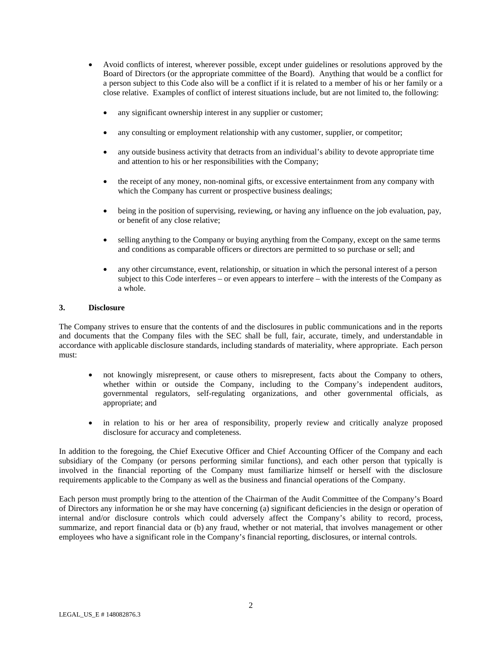- Avoid conflicts of interest, wherever possible, except under guidelines or resolutions approved by the Board of Directors (or the appropriate committee of the Board). Anything that would be a conflict for a person subject to this Code also will be a conflict if it is related to a member of his or her family or a close relative. Examples of conflict of interest situations include, but are not limited to, the following:
	- any significant ownership interest in any supplier or customer;
	- any consulting or employment relationship with any customer, supplier, or competitor;
	- any outside business activity that detracts from an individual's ability to devote appropriate time and attention to his or her responsibilities with the Company;
	- the receipt of any money, non-nominal gifts, or excessive entertainment from any company with which the Company has current or prospective business dealings;
	- being in the position of supervising, reviewing, or having any influence on the job evaluation, pay, or benefit of any close relative;
	- selling anything to the Company or buying anything from the Company, except on the same terms and conditions as comparable officers or directors are permitted to so purchase or sell; and
	- any other circumstance, event, relationship, or situation in which the personal interest of a person subject to this Code interferes – or even appears to interfere – with the interests of the Company as a whole.

#### **3. Disclosure**

The Company strives to ensure that the contents of and the disclosures in public communications and in the reports and documents that the Company files with the SEC shall be full, fair, accurate, timely, and understandable in accordance with applicable disclosure standards, including standards of materiality, where appropriate. Each person must:

- not knowingly misrepresent, or cause others to misrepresent, facts about the Company to others, whether within or outside the Company, including to the Company's independent auditors, governmental regulators, self-regulating organizations, and other governmental officials, as appropriate; and
- in relation to his or her area of responsibility, properly review and critically analyze proposed disclosure for accuracy and completeness.

In addition to the foregoing, the Chief Executive Officer and Chief Accounting Officer of the Company and each subsidiary of the Company (or persons performing similar functions), and each other person that typically is involved in the financial reporting of the Company must familiarize himself or herself with the disclosure requirements applicable to the Company as well as the business and financial operations of the Company.

Each person must promptly bring to the attention of the Chairman of the Audit Committee of the Company's Board of Directors any information he or she may have concerning (a) significant deficiencies in the design or operation of internal and/or disclosure controls which could adversely affect the Company's ability to record, process, summarize, and report financial data or (b) any fraud, whether or not material, that involves management or other employees who have a significant role in the Company's financial reporting, disclosures, or internal controls.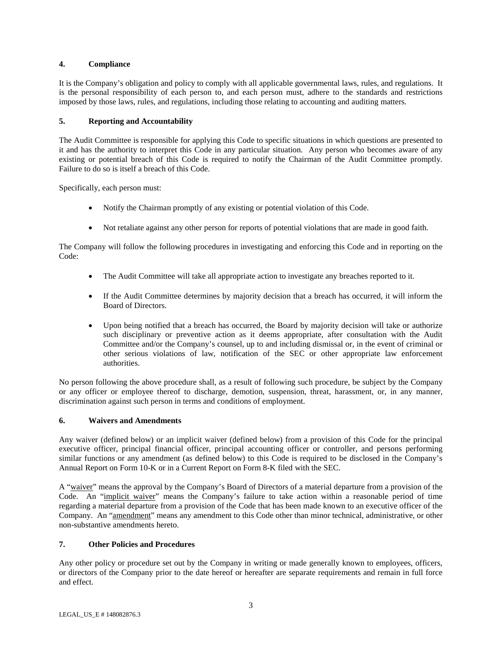# **4. Compliance**

It is the Company's obligation and policy to comply with all applicable governmental laws, rules, and regulations. It is the personal responsibility of each person to, and each person must, adhere to the standards and restrictions imposed by those laws, rules, and regulations, including those relating to accounting and auditing matters.

# **5. Reporting and Accountability**

The Audit Committee is responsible for applying this Code to specific situations in which questions are presented to it and has the authority to interpret this Code in any particular situation. Any person who becomes aware of any existing or potential breach of this Code is required to notify the Chairman of the Audit Committee promptly. Failure to do so is itself a breach of this Code.

Specifically, each person must:

- Notify the Chairman promptly of any existing or potential violation of this Code.
- Not retaliate against any other person for reports of potential violations that are made in good faith.

The Company will follow the following procedures in investigating and enforcing this Code and in reporting on the Code:

- The Audit Committee will take all appropriate action to investigate any breaches reported to it.
- If the Audit Committee determines by majority decision that a breach has occurred, it will inform the Board of Directors.
- Upon being notified that a breach has occurred, the Board by majority decision will take or authorize such disciplinary or preventive action as it deems appropriate, after consultation with the Audit Committee and/or the Company's counsel, up to and including dismissal or, in the event of criminal or other serious violations of law, notification of the SEC or other appropriate law enforcement authorities.

No person following the above procedure shall, as a result of following such procedure, be subject by the Company or any officer or employee thereof to discharge, demotion, suspension, threat, harassment, or, in any manner, discrimination against such person in terms and conditions of employment.

# **6. Waivers and Amendments**

Any waiver (defined below) or an implicit waiver (defined below) from a provision of this Code for the principal executive officer, principal financial officer, principal accounting officer or controller, and persons performing similar functions or any amendment (as defined below) to this Code is required to be disclosed in the Company's Annual Report on Form 10-K or in a Current Report on Form 8-K filed with the SEC.

A "waiver" means the approval by the Company's Board of Directors of a material departure from a provision of the Code. An "implicit waiver" means the Company's failure to take action within a reasonable period of time regarding a material departure from a provision of the Code that has been made known to an executive officer of the Company. An "amendment" means any amendment to this Code other than minor technical, administrative, or other non-substantive amendments hereto.

# **7. Other Policies and Procedures**

Any other policy or procedure set out by the Company in writing or made generally known to employees, officers, or directors of the Company prior to the date hereof or hereafter are separate requirements and remain in full force and effect.